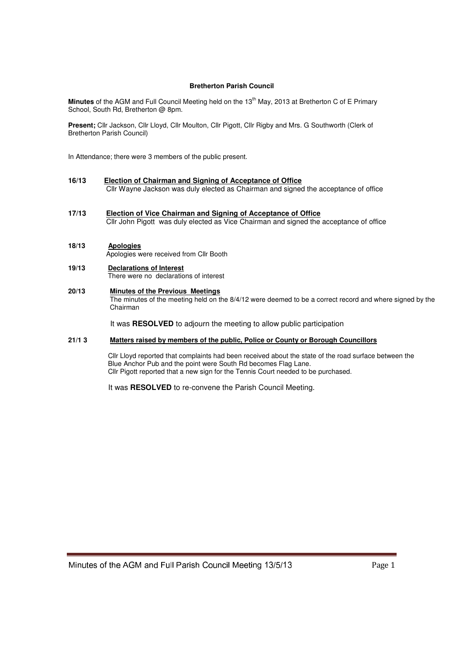### **Bretherton Parish Council**

**Minutes** of the AGM and Full Council Meeting held on the 13<sup>th</sup> May, 2013 at Bretherton C of E Primary School, South Rd, Bretherton @ 8pm.

Present; Cllr Jackson, Cllr Lloyd, Cllr Moulton, Cllr Pigott, Cllr Rigby and Mrs. G Southworth (Clerk of Bretherton Parish Council)

In Attendance; there were 3 members of the public present.

- **16/13 Election of Chairman and Signing of Acceptance of Office** Cllr Wayne Jackson was duly elected as Chairman and signed the acceptance of office
- **17/13 Election of Vice Chairman and Signing of Acceptance of Office** Cllr John Pigott was duly elected as Vice Chairman and signed the acceptance of office

# **18/13 Apologies**

Apologies were received from Cllr Booth

# **19/13 Declarations of Interest**

There were no declarations of interest

# **20/13 Minutes of the Previous Meetings**

 The minutes of the meeting held on the 8/4/12 were deemed to be a correct record and where signed by the Chairman

It was **RESOLVED** to adjourn the meeting to allow public participation

## **21/1 3 Matters raised by members of the public, Police or County or Borough Councillors**

 Cllr Lloyd reported that complaints had been received about the state of the road surface between the Blue Anchor Pub and the point were South Rd becomes Flag Lane. Cllr Pigott reported that a new sign for the Tennis Court needed to be purchased.

It was **RESOLVED** to re-convene the Parish Council Meeting.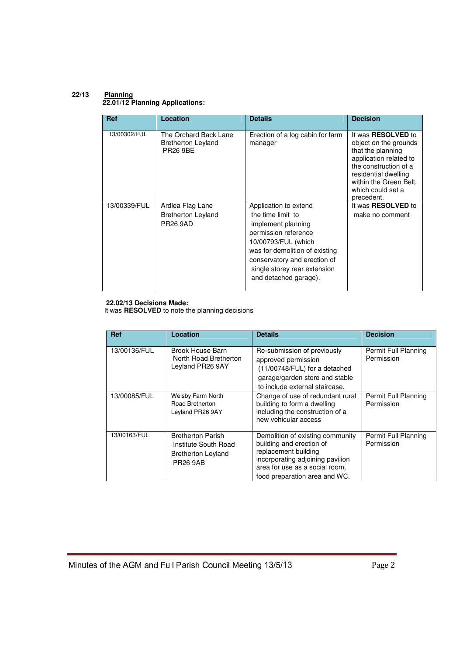### **22/13 Planning 22.01/12 Planning Applications:**

| <b>Ref</b>   | Location                                                              | <b>Details</b>                                                                                                                                                                                                                             | <b>Decision</b>                                                                                                                                                                                                 |  |  |  |
|--------------|-----------------------------------------------------------------------|--------------------------------------------------------------------------------------------------------------------------------------------------------------------------------------------------------------------------------------------|-----------------------------------------------------------------------------------------------------------------------------------------------------------------------------------------------------------------|--|--|--|
| 13/00302/FUL | The Orchard Back Lane<br><b>Bretherton Leyland</b><br><b>PR26 9BE</b> | Erection of a log cabin for farm<br>manager                                                                                                                                                                                                | It was <b>RESOLVED</b> to<br>object on the grounds<br>that the planning<br>application related to<br>the construction of a<br>residential dwelling<br>within the Green Belt,<br>which could set a<br>precedent. |  |  |  |
| 13/00339/FUL | Ardlea Flag Lane<br><b>Bretherton Leyland</b><br><b>PR26 9AD</b>      | Application to extend<br>the time limit to<br>implement planning<br>permission reference<br>10/00793/FUL (which<br>was for demolition of existing<br>conservatory and erection of<br>single storey rear extension<br>and detached garage). | It was <b>RESOLVED</b> to<br>make no comment                                                                                                                                                                    |  |  |  |

# **22.02/13 Decisions Made:**

It was **RESOLVED** to note the planning decisions

| <b>Ref</b>   | Location                                                                                         | <b>Details</b>                                                                                                                                                                              | <b>Decision</b>                    |
|--------------|--------------------------------------------------------------------------------------------------|---------------------------------------------------------------------------------------------------------------------------------------------------------------------------------------------|------------------------------------|
| 13/00136/FUL | Brook House Barn<br>North Road Bretherton<br>Leyland PR26 9AY                                    | Re-submission of previously<br>approved permission<br>(11/00748/FUL) for a detached<br>garage/garden store and stable<br>to include external staircase.                                     | Permit Full Planning<br>Permission |
| 13/00085/FUL | <b>Welsby Farm North</b><br>Road Bretherton<br>Leyland PR26 9AY                                  | Change of use of redundant rural<br>building to form a dwelling<br>including the construction of a<br>new vehicular access                                                                  | Permit Full Planning<br>Permission |
| 13/00163/FUL | <b>Bretherton Parish</b><br>Institute South Road<br><b>Bretherton Leyland</b><br><b>PR26 9AB</b> | Demolition of existing community<br>building and erection of<br>replacement building<br>incorporating adjoining pavilion<br>area for use as a social room,<br>food preparation area and WC. | Permit Full Planning<br>Permission |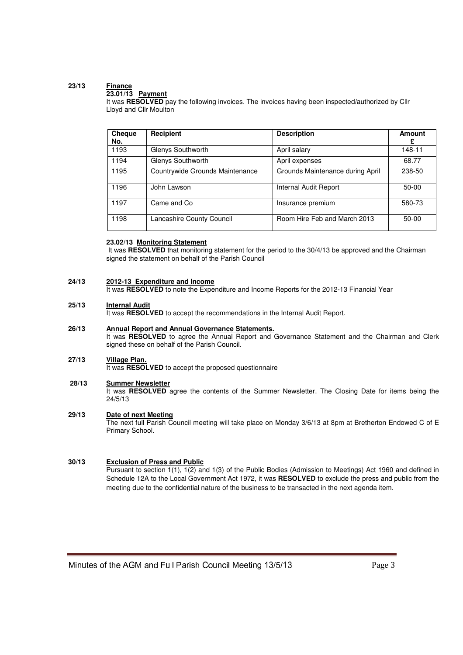# **23/13 Finance**

### **23.01/13 Payment**

It was RESOLVED pay the following invoices. The invoices having been inspected/authorized by Cllr Lloyd and Cllr Moulton

| Cheque<br>No. | Recipient                       | <b>Description</b>               | Amount<br>£ |
|---------------|---------------------------------|----------------------------------|-------------|
| 1193          | Glenys Southworth               | April salary                     | 148-11      |
| 1194          | Glenys Southworth               | April expenses                   | 68.77       |
| 1195          | Countrywide Grounds Maintenance | Grounds Maintenance during April | 238-50      |
| 1196          | John Lawson                     | Internal Audit Report            | $50-00$     |
| 1197          | Came and Co                     | Insurance premium                | 580-73      |
| 1198          | Lancashire County Council       | Room Hire Feb and March 2013     | $50-00$     |

### **23.02/13 Monitoring Statement**

 It was **RESOLVED** that monitoring statement for the period to the 30/4/13 be approved and the Chairman signed the statement on behalf of the Parish Council

#### **24/13 2012-13 Expenditure and Income**

It was **RESOLVED** to note the Expenditure and Income Reports for the 2012-13 Financial Year

#### **25/13 Internal Audit**

It was **RESOLVED** to accept the recommendations in the Internal Audit Report.

#### **26/13 Annual Report and Annual Governance Statements.**

It was **RESOLVED** to agree the Annual Report and Governance Statement and the Chairman and Clerk signed these on behalf of the Parish Council.

#### **27/13 Village Plan.**

It was **RESOLVED** to accept the proposed questionnaire

#### **28/13 Summer Newsletter**

It was RESOLVED agree the contents of the Summer Newsletter. The Closing Date for items being the 24/5/13

#### **29/13 Date of next Meeting**

The next full Parish Council meeting will take place on Monday 3/6/13 at 8pm at Bretherton Endowed C of E Primary School.

#### **30/13 Exclusion of Press and Public**

Pursuant to section 1(1), 1(2) and 1(3) of the Public Bodies (Admission to Meetings) Act 1960 and defined in Schedule 12A to the Local Government Act 1972, it was **RESOLVED** to exclude the press and public from the meeting due to the confidential nature of the business to be transacted in the next agenda item.